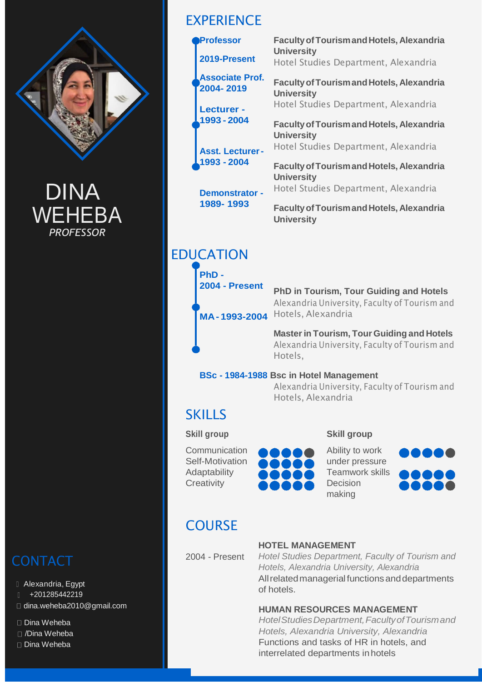

DINA **WEHEBA** *PROFESSOR*

# **CONTACT**

- Alexandria, Egypt
- +201285442219
- □ [dina.weheba2010@gmail.com](mailto:dina.weheba2010@gmail.com)
- □ Dina Weheba
- /Dina Weheba
- Dina Weheba

# **EXPERIENCE**

| <b>Professor</b>                    | <b>Faculty of Tourism and Hotels, Alexandria</b>                      |
|-------------------------------------|-----------------------------------------------------------------------|
| 2019-Present                        | <b>University</b><br>Hotel Studies Department, Alexandria             |
| <b>Associate Prof.</b><br>2004-2019 | <b>Faculty of Tourism and Hotels, Alexandria</b><br><b>University</b> |
| <b>Lecturer -</b>                   | Hotel Studies Department, Alexandria                                  |
| 1993 - 2004                         | <b>Faculty of Tourism and Hotels, Alexandria</b><br><b>University</b> |
| <b>Asst. Lecturer-</b>              | Hotel Studies Department, Alexandria                                  |
| 1993 - 2004                         | <b>Faculty of Tourism and Hotels, Alexandria</b><br><b>University</b> |
| <b>Demonstrator -</b>               | Hotel Studies Department, Alexandria                                  |
| 1989-1993                           | <b>Faculty of Tourism and Hotels, Alexandria</b><br><b>University</b> |

# EDUCATION

**PhD - 2004 - Present**

**MA- 1993-2004** Hotels, Alexandria

**PhD in Tourism, Tour Guiding and Hotels**  Alexandria University, Faculty of Tourism and

**Masterin Tourism, Tour Guiding and Hotels**  Alexandria University, Faculty of Tourism and Hotels,

## **BSc - 1984-1988 Bsc in Hotel Management**

Alexandria University, Faculty of Tourism and Hotels, Alexandria

# **SKILLS**

## **Skill group**

Communication Self-Motivation Adaptability **Creativity** 



**Skill group** Ability to work under pressure

**IOOOO** 10001

# **COURSE**

2004 - Present

## **HOTEL MANAGEMENT**

*Hotel Studies Department, Faculty of Tourism and Hotels, Alexandria University, Alexandria* All related managerial functions and departments of hotels.

## **HUMAN RESOURCES MANAGEMENT**

*HotelStudiesDepartment,FacultyofTourismand Hotels, Alexandria University, Alexandria*  Functions and tasks of HR in hotels, and interrelated departments inhotels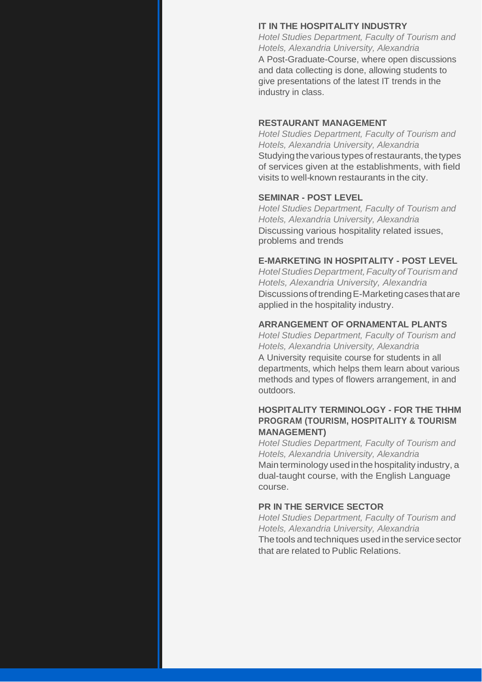#### **IT IN THE HOSPITALITY INDUSTRY**

*Hotel Studies Department, Faculty of Tourism and Hotels, Alexandria University, Alexandria* A Post-Graduate-Course, where open discussions and data collecting is done, allowing students to give presentations of the latest IT trends in the industry in class.

#### **RESTAURANT MANAGEMENT**

*Hotel Studies Department, Faculty of Tourism and Hotels, Alexandria University, Alexandria* Studying the various types of restaurants, the types of services given at the establishments, with field visits to well-known restaurants in the city.

#### **SEMINAR - POST LEVEL**

*Hotel Studies Department, Faculty of Tourism and Hotels, Alexandria University, Alexandria* Discussing various hospitality related issues, problems and trends

#### **E-MARKETING IN HOSPITALITY - POST LEVEL**

*HotelStudies Department,Faculty ofTourismand Hotels, Alexandria University, Alexandria*  DiscussionsoftrendingE-Marketingcasesthatare applied in the hospitality industry.

#### **ARRANGEMENT OF ORNAMENTAL PLANTS**

*Hotel Studies Department, Faculty of Tourism and Hotels, Alexandria University, Alexandria* A University requisite course for students in all departments, which helps them learn about various methods and types of flowers arrangement, in and outdoors.

### **HOSPITALITY TERMINOLOGY - FOR THE THHM PROGRAM (TOURISM, HOSPITALITY & TOURISM MANAGEMENT)**

*Hotel Studies Department, Faculty of Tourism and Hotels, Alexandria University, Alexandria* Main terminology usedinthe hospitality industry, a dual-taught course, with the English Language course.

#### **PR IN THE SERVICE SECTOR**

*Hotel Studies Department, Faculty of Tourism and Hotels, Alexandria University, Alexandria* The tools and techniques used in the service sector that are related to Public Relations.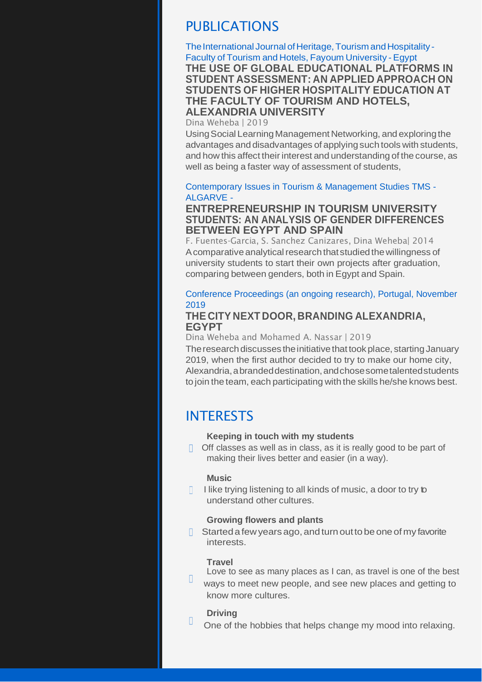# PUBLICATIONS

The International Journal of Heritage, Tourism and Hospitality -Faculty of Tourism and Hotels, Fayoum University -Egypt **THE USE OF GLOBAL EDUCATIONAL PLATFORMS IN STUDENT ASSESSMENT: AN APPLIED APPROACH ON STUDENTS OF HIGHER HOSPITALITY EDUCATION AT THE FACULTY OF TOURISM AND HOTELS, ALEXANDRIA UNIVERSITY**

Dina Weheba | 2019

Using Social Learning Management Networking, and exploring the advantages and disadvantages of applyingsuch tools with students, and how this affect their interest and understanding of the course, as well as being a faster way of assessment of students,

#### Contemporary Issues in Tourism & Management Studies TMS - ALGARVE -

## **ENTREPRENEURSHIP IN TOURISM UNIVERSITY STUDENTS: AN ANALYSIS OF GENDER DIFFERENCES BETWEEN EGYPT AND SPAIN**

F. Fuentes-Garcia, S. Sanchez Canizares, Dina Weheba| 2014 A comparative analytical research that studied the willingness of university students to start their own projects after graduation, comparing between genders, both in Egypt and Spain.

## Conference Proceedings (an ongoing research), Portugal, November 2019

## **THE CITY NEXT DOOR, BRANDING ALEXANDRIA, EGYPT**

Dina Weheba and Mohamed A. Nassar | 2019

The research discusses the initiative that took place, starting January 2019, when the first author decided to try to make our home city, Alexandria,abrandeddestination,andchosesometalentedstudents to join the team, each participating with the skills he/she knows best.

# INTERESTS

#### **Keeping in touch with my students**

 $\Box$  Off classes as well as in class, as it is really good to be part of making their lives better and easier (in a way).

#### **Music**

I like trying listening to all kinds of music, a door to try to understand other cultures.

#### **Growing flowers and plants**

 $\Box$  Started a few years ago, and turn out to be one of my favorite interests.

#### **Travel**

Love to see as many places as I can, as travel is one of the best  $\Box$ ways to meet new people, and see new places and getting to know more cultures.

#### **Driving**

П

One of the hobbies that helps change my mood into relaxing.